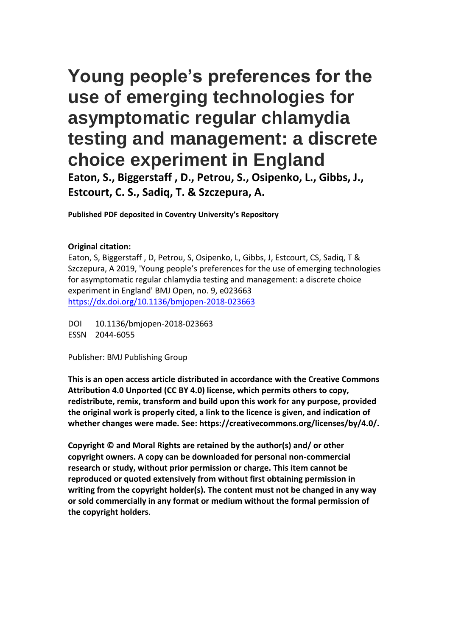# **Young people's preferences for the use of emerging technologies for asymptomatic regular chlamydia testing and management: a discrete choice experiment in England Eaton, S., Biggerstaff , D., Petrou, S., Osipenko, L., Gibbs, J., Estcourt, C. S., Sadiq, T. & Szczepura, A.**

**Published PDF deposited in Coventry University's Repository** 

# **Original citation:**

Eaton, S, Biggerstaff , D, Petrou, S, Osipenko, L, Gibbs, J, Estcourt, CS, Sadiq, T & Szczepura, A 2019, 'Young people's preferences for the use of emerging technologies for asymptomatic regular chlamydia testing and management: a discrete choice experiment in England' BMJ Open, no. 9, e023663 <https://dx.doi.org/10.1136/bmjopen-2018-023663>

DOI 10.1136/bmjopen-2018-023663 ESSN 2044-6055

Publisher: BMJ Publishing Group

**This is an open access article distributed in accordance with the Creative Commons Attribution 4.0 Unported (CC BY 4.0) license, which permits others to copy, redistribute, remix, transform and build upon this work for any purpose, provided the original work is properly cited, a link to the licence is given, and indication of whether changes were made. See: https://creativecommons.org/licenses/by/4.0/.** 

**Copyright © and Moral Rights are retained by the author(s) and/ or other copyright owners. A copy can be downloaded for personal non-commercial research or study, without prior permission or charge. This item cannot be reproduced or quoted extensively from without first obtaining permission in writing from the copyright holder(s). The content must not be changed in any way or sold commercially in any format or medium without the formal permission of the copyright holders**.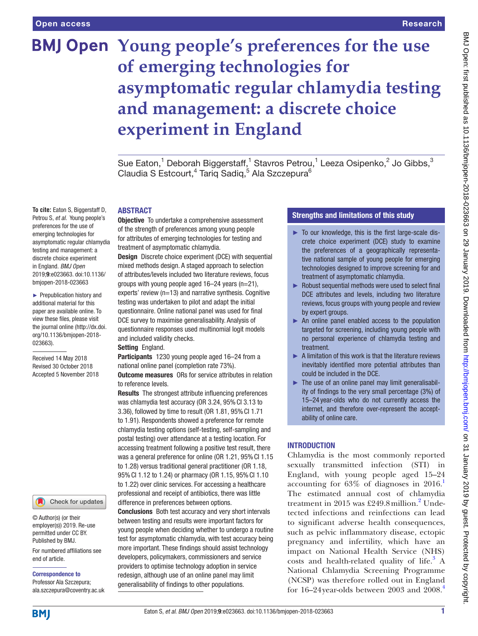# **BMJ Open Young people's preferences for the use of emerging technologies for asymptomatic regular chlamydia testing and management: a discrete choice experiment in England**

Sue Eaton,<sup>1</sup> Deborah Biggerstaff,<sup>1</sup> Stavros Petrou,<sup>1</sup> Leeza Osipenko,<sup>2</sup> Jo Gibbs,<sup>3</sup> Claudia S Estcourt,<sup>4</sup> Tariq Sadiq,<sup>5</sup> Ala Szczepura<sup>6</sup>

#### **ABSTRACT**

**To cite:** Eaton S, Biggerstaff D, Petrou S, *et al*. Young people's preferences for the use of emerging technologies for asymptomatic regular chlamydia testing and management: a discrete choice experiment in England. *BMJ Open* 2019;9:e023663. doi:10.1136/ bmjopen-2018-023663

► Prepublication history and additional material for this paper are available online. To view these files, please visit the journal online [\(http://dx.doi.](http://dx.doi.org/10.1136/bmjopen-2018-023663) [org/10.1136/bmjopen-2018-](http://dx.doi.org/10.1136/bmjopen-2018-023663) [023663\)](http://dx.doi.org/10.1136/bmjopen-2018-023663).

Received 14 May 2018 Revised 30 October 2018 Accepted 5 November 2018



© Author(s) (or their employer(s)) 2019. Re-use permitted under CC BY. Published by BMJ.

For numbered affiliations see end of article.

Correspondence to Professor Ala Szczepura; ala.szczepura@coventry.ac.uk

**Objective** To undertake a comprehensive assessment of the strength of preferences among young people for attributes of emerging technologies for testing and treatment of asymptomatic chlamydia.

Design Discrete choice experiment (DCE) with sequential mixed methods design. A staged approach to selection of attributes/levels included two literature reviews, focus groups with young people aged 16–24 years (n=21), experts' review (n=13) and narrative synthesis. Cognitive testing was undertaken to pilot and adapt the initial questionnaire. Online national panel was used for final DCE survey to maximise generalisability. Analysis of questionnaire responses used multinomial logit models and included validity checks.

#### Setting England.

Participants 1230 young people aged 16-24 from a national online panel (completion rate 73%).

**Outcome measures** ORs for service attributes in relation to reference levels.

Results The strongest attribute influencing preferences was chlamydia test accuracy (OR 3.24, 95%CI 3.13 to 3.36), followed by time to result (OR 1.81, 95%CI 1.71 to 1.91). Respondents showed a preference for remote chlamydia testing options (self-testing, self-sampling and postal testing) over attendance at a testing location. For accessing treatment following a positive test result, there was a general preference for online (OR 1.21, 95% CI 1.15 to 1.28) versus traditional general practitioner (OR 1.18, 95%CI 1.12 to 1.24) or pharmacy (OR 1.15, 95%CI 1.10 to 1.22) over clinic services. For accessing a healthcare professional and receipt of antibiotics, there was little difference in preferences between options.

Conclusions Both test accuracy and very short intervals between testing and results were important factors for young people when deciding whether to undergo a routine test for asymptomatic chlamydia, with test accuracy being more important. These findings should assist technology developers, policymakers, commissioners and service providers to optimise technology adoption in service redesign, although use of an online panel may limit generalisability of findings to other populations.

### Strengths and limitations of this study

- ► To our knowledge, this is the first large-scale discrete choice experiment (DCE) study to examine the preferences of a geographically representative national sample of young people for emerging technologies designed to improve screening for and treatment of asymptomatic chlamydia.
- ► Robust sequential methods were used to select final DCE attributes and levels, including two literature reviews, focus groups with young people and review by expert groups.
- $\triangleright$  An online panel enabled access to the population targeted for screening, including young people with no personal experience of chlamydia testing and treatment.
- $\blacktriangleright$  A limitation of this work is that the literature reviews inevitably identified more potential attributes than could be included in the DCE.
- ► The use of an online panel may limit generalisability of findings to the very small percentage (3%) of 15–24 year-olds who do not currently access the internet, and therefore over-represent the acceptability of online care.

### **INTRODUCTION**

Chlamydia is the most commonly reported sexually transmitted infection (STI) in England, with young people aged 15–24 accounting for  $63\%$  of diagnoses in  $2016$ . The estimated annual cost of chlamydia treatment in [2](#page-9-1)015 was £249.8 million.<sup>2</sup> Undetected infections and reinfections can lead to significant adverse health consequences, such as pelvic inflammatory disease, ectopic pregnancy and infertility, which have an impact on National Health Service (NHS) costs and health-related quality of life.<sup>[3](#page-9-2)</sup> A National Chlamydia Screening Programme (NCSP) was therefore rolled out in England for 16–24 year-olds between 2003 and 2008.<sup>4</sup>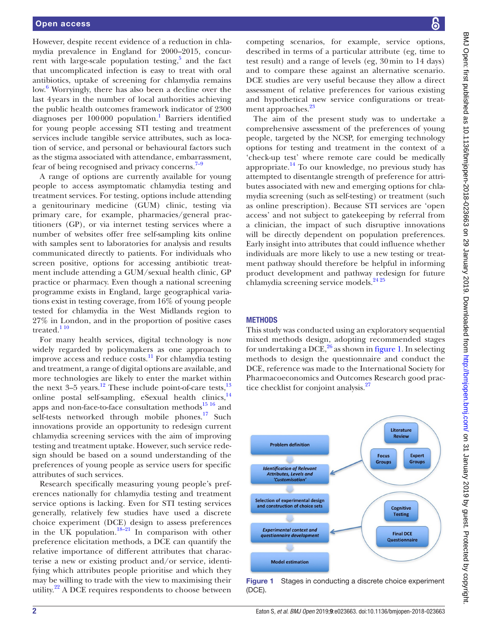However, despite recent evidence of a reduction in chlamydia prevalence in England for 2000–2015, concurrent with large-scale population testing, $5$  and the fact that uncomplicated infection is easy to treat with oral antibiotics, uptake of screening for chlamydia remains low.<sup>6</sup> Worryingly, there has also been a decline over the last 4years in the number of local authorities achieving the public health outcomes framework indicator of 2300 diagnoses per 100 000 population.<sup>1</sup> Barriers identified for young people accessing STI testing and treatment services include tangible service attributes, such as location of service, and personal or behavioural factors such as the stigma associated with attendance, embarrassment, fear of being recognised and privacy concerns.<sup>7–9</sup>

A range of options are currently available for young people to access asymptomatic chlamydia testing and treatment services. For testing, options include attending a genitourinary medicine (GUM) clinic, testing via primary care, for example, pharmacies/general practitioners (GP), or via internet testing services where a number of websites offer free self-sampling kits online with samples sent to laboratories for analysis and results communicated directly to patients. For individuals who screen positive, options for accessing antibiotic treatment include attending a GUM/sexual health clinic, GP practice or pharmacy. Even though a national screening programme exists in England, large geographical variations exist in testing coverage, from 16% of young people tested for chlamydia in the West Midlands region to 27% in London, and in the proportion of positive cases treated. $110$ 

For many health services, digital technology is now widely regarded by policymakers as one approach to improve access and reduce costs. $^{11}$  $^{11}$  $^{11}$  For chlamydia testing and treatment, a range of digital options are available, and more technologies are likely to enter the market within the next  $3-5$  years.<sup>[12](#page-9-8)</sup> These include point-of-care tests,<sup>13</sup> online postal self-sampling, eSexual health clinics,<sup>14</sup> apps and non-face-to-face consultation methods $^{15}$   $^{16}$  and self-tests networked through mobile phones.<sup>[17](#page-10-1)</sup> Such innovations provide an opportunity to redesign current chlamydia screening services with the aim of improving testing and treatment uptake. However, such service redesign should be based on a sound understanding of the preferences of young people as service users for specific attributes of such services.

Research specifically measuring young people's preferences nationally for chlamydia testing and treatment service options is lacking. Even for STI testing services generally, relatively few studies have used a discrete choice experiment (DCE) design to assess preferences in the UK population.<sup>18–21</sup> In comparison with other preference elicitation methods, a DCE can quantify the relative importance of different attributes that characterise a new or existing product and/or service, identifying which attributes people prioritise and which they may be willing to trade with the view to maximising their utility.<sup>22</sup> A DCE requires respondents to choose between

competing scenarios, for example, service options, described in terms of a particular attribute (eg, time to test result) and a range of levels (eg, 30min to 14 days) and to compare these against an alternative scenario. DCE studies are very useful because they allow a direct assessment of relative preferences for various existing and hypothetical new service configurations or treat-ment approaches.<sup>[23](#page-10-4)</sup>

The aim of the present study was to undertake a comprehensive assessment of the preferences of young people, targeted by the NCSP, for emerging technology options for testing and treatment in the context of a 'check-up test' where remote care could be medically appropriate. $^{14}$  To our knowledge, no previous study has attempted to disentangle strength of preference for attributes associated with new and emerging options for chlamydia screening (such as self-testing) or treatment (such as online prescription). Because STI services are 'open access' and not subject to gatekeeping by referral from a clinician, the impact of such disruptive innovations will be directly dependent on population preferences. Early insight into attributes that could influence whether individuals are more likely to use a new testing or treatment pathway should therefore be helpful in informing product development and pathway redesign for future chlamydia screening service models.<sup>[24 25](#page-10-5)</sup>

### **METHODS**

This study was conducted using an exploratory sequential mixed methods design, adopting recommended stages for undertaking a DCE,  $^{26}$  as shown in [figure](#page-2-0) 1. In selecting methods to design the questionnaire and conduct the DCE, reference was made to the International Society for Pharmacoeconomics and Outcomes Research good practice checklist for conjoint analysis.<sup>27</sup>



<span id="page-2-0"></span>Figure 1 Stages in conducting a discrete choice experiment (DCE).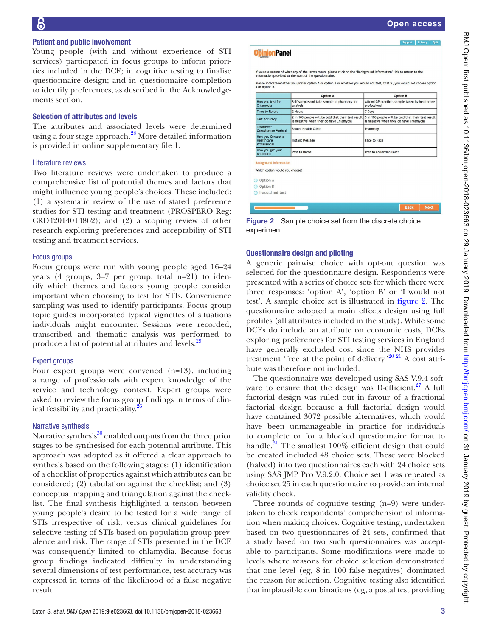### Patient and public involvement

Young people (with and without experience of STI services) participated in focus groups to inform priorities included in the DCE; in cognitive testing to finalise questionnaire design; and in questionnaire completion to identify preferences, as described in the Acknowledgements section.

### Selection of attributes and levels

The attributes and associated levels were determined using a four-stage approach.[28](#page-10-8) More detailed information is provided in online [supplementary file 1](https://dx.doi.org/10.1136/bmjopen-2018-023663).

### Literature reviews

Two literature reviews were undertaken to produce a comprehensive list of potential themes and factors that might influence young people's choices. These included: (1) a systematic review of the use of stated preference studies for STI testing and treatment (PROSPERO Reg: CRD42014014862); and (2) a scoping review of other research exploring preferences and acceptability of STI testing and treatment services.

# Focus groups

Focus groups were run with young people aged 16–24 years (4 groups, 3–7 per group; total n=21) to identify which themes and factors young people consider important when choosing to test for STIs. Convenience sampling was used to identify participants. Focus group topic guides incorporated typical vignettes of situations individuals might encounter. Sessions were recorded, transcribed and thematic analysis was performed to produce a list of potential attributes and levels.<sup>29</sup>

# Expert groups

Four expert groups were convened (n=13), including a range of professionals with expert knowledge of the service and technology context. Expert groups were asked to review the focus group findings in terms of clinical feasibility and practicality.<sup>26</sup>

# Narrative synthesis

Narrative synthesis $30$  enabled outputs from the three prior stages to be synthesised for each potential attribute. This approach was adopted as it offered a clear approach to synthesis based on the following stages: (1) identification of a checklist of properties against which attributes can be considered; (2) tabulation against the checklist; and (3) conceptual mapping and triangulation against the checklist. The final synthesis highlighted a tension between young people's desire to be tested for a wide range of STIs irrespective of risk, versus clinical guidelines for selective testing of STIs based on population group prevalence and risk. The range of STIs presented in the DCE was consequently limited to chlamydia. Because focus group findings indicated difficulty in understanding several dimensions of test performance, test accuracy was expressed in terms of the likelihood of a false negative result.

If you are unsure of what any of the terms mean, pl<br>information provided at the start of the questionnal

Please indicate whether you prefer option A or option B or<br>A or option B.

|                                                 | <b>Option A</b>                                                                                | <b>Option B</b>                                                                                |             |             |
|-------------------------------------------------|------------------------------------------------------------------------------------------------|------------------------------------------------------------------------------------------------|-------------|-------------|
| How you test for<br>Chlamydia                   | Self sample and take sample to pharmacy for<br>analysis                                        | Attend GP practice, sample taken by healthcare<br>professional                                 |             |             |
| Time to Result                                  | 2 Hours                                                                                        | 7 Days                                                                                         |             |             |
| <b>Test Accuracy</b>                            | 2 in 100 people will be told that their test result<br>is negative when they do have Chlamydia | 5 in 100 people will be told that their test result<br>is negative when they do have Chlamydia |             |             |
| <b>Treatment</b><br><b>Consultation Method</b>  | Sexual Health Clinic                                                                           | Pharmacy                                                                                       |             |             |
| How you Contact a<br>Healthcare<br>Professional | Instant Message                                                                                | <b>Face to Face</b>                                                                            |             |             |
| How you get your<br>Antibiotic                  | Post to Home                                                                                   | Post to Collection Point                                                                       |             |             |
| <b>Background information</b>                   |                                                                                                |                                                                                                |             |             |
| Which option would you choose?                  |                                                                                                |                                                                                                |             |             |
| Option A                                        |                                                                                                |                                                                                                |             |             |
| Option B                                        |                                                                                                |                                                                                                |             |             |
| I would not test                                |                                                                                                |                                                                                                |             |             |
|                                                 |                                                                                                |                                                                                                | <b>Back</b> | <b>Next</b> |

<span id="page-3-0"></span>Figure 2 Sample choice set from the discrete choice experiment.

# Questionnaire design and piloting

A generic pairwise choice with opt-out question was selected for the questionnaire design. Respondents were presented with a series of choice sets for which there were three responses: 'option A', 'option B' or 'I would not test'. A sample choice set is illustrated in [figure](#page-3-0) 2. The questionnaire adopted a main effects design using full profiles (all attributes included in the study). While some DCEs do include an attribute on economic costs, DCEs exploring preferences for STI testing services in England have generally excluded cost since the NHS provides treatment 'free at the point of delivery.['20 21](#page-10-11) A cost attribute was therefore not included.

The questionnaire was developed using SAS V.9.4 software to ensure that the design was D-efficient. $27$  A full factorial design was ruled out in favour of a fractional factorial design because a full factorial design would have contained 3072 possible alternatives, which would have been unmanageable in practice for individuals to complete or for a blocked questionnaire format to handle. $31$  The smallest 100% efficient design that could be created included 48 choice sets. These were blocked (halved) into two questionnaires each with 24 choice sets using SAS JMP Pro V.9.2.0. Choice set 1 was repeated as choice set 25 in each questionnaire to provide an internal validity check.

Three rounds of cognitive testing (n=9) were undertaken to check respondents' comprehension of information when making choices. Cognitive testing, undertaken based on two questionnaires of 24 sets, confirmed that a study based on two such questionnaires was acceptable to participants. Some modifications were made to levels where reasons for choice selection demonstrated that one level (eg, 8 in 100 false negatives) dominated the reason for selection. Cognitive testing also identified that implausible combinations (eg, a postal test providing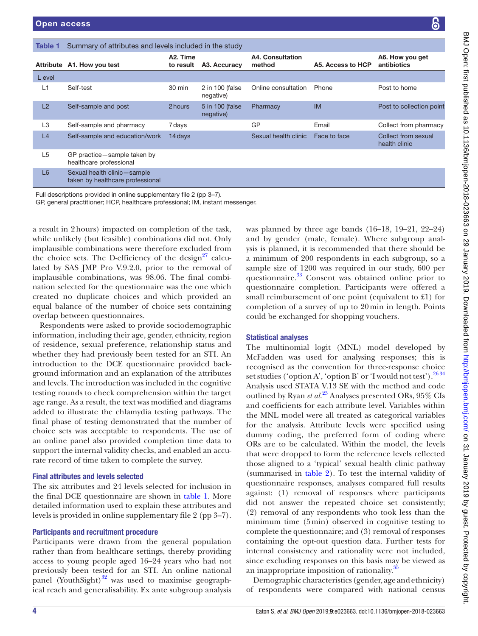<span id="page-4-0"></span>

| Table 1        | Summary of attributes and levels included in the study          |                                    |                               |                            |                   |                                      |
|----------------|-----------------------------------------------------------------|------------------------------------|-------------------------------|----------------------------|-------------------|--------------------------------------|
|                | Attribute A1. How you test                                      | A <sub>2</sub> . Time<br>to result | A3. Accuracy                  | A4. Consultation<br>method | A5. Access to HCP | A6. How you get<br>antibiotics       |
| L evel         |                                                                 |                                    |                               |                            |                   |                                      |
| L1             | Self-test                                                       | 30 min                             | 2 in 100 (false<br>negative)  | Online consultation        | Phone             | Post to home                         |
| L <sub>2</sub> | Self-sample and post                                            | 2 hours                            | 5 in 100 (false)<br>negative) | Pharmacy                   | <b>IM</b>         | Post to collection point             |
| L <sub>3</sub> | Self-sample and pharmacy                                        | 7 days                             |                               | GP                         | Email             | Collect from pharmacy                |
| L4             | Self-sample and education/work                                  | 14 days                            |                               | Sexual health clinic       | Face to face      | Collect from sexual<br>health clinic |
| L <sub>5</sub> | GP practice - sample taken by<br>healthcare professional        |                                    |                               |                            |                   |                                      |
| L6             | Sexual health clinic-sample<br>taken by healthcare professional |                                    |                               |                            |                   |                                      |

Full descriptions provided in online [supplementary file 2](https://dx.doi.org/10.1136/bmjopen-2018-023663) (pp 3–7).

GP, general practitioner; HCP, healthcare professional; IM, instant messenger.

a result in 2hours) impacted on completion of the task, while unlikely (but feasible) combinations did not. Only implausible combinations were therefore excluded from the choice sets. The D-efficiency of the design $27$  calculated by SAS JMP Pro V.9.2.0, prior to the removal of implausible combinations, was 98.06. The final combination selected for the questionnaire was the one which created no duplicate choices and which provided an equal balance of the number of choice sets containing overlap between questionnaires.

Respondents were asked to provide sociodemographic information, including their age, gender, ethnicity, region of residence, sexual preference, relationship status and whether they had previously been tested for an STI. An introduction to the DCE questionnaire provided background information and an explanation of the attributes and levels. The introduction was included in the cognitive testing rounds to check comprehension within the target age range. As a result, the text was modified and diagrams added to illustrate the chlamydia testing pathways. The final phase of testing demonstrated that the number of choice sets was acceptable to respondents. The use of an online panel also provided completion time data to support the internal validity checks, and enabled an accurate record of time taken to complete the survey.

#### Final attributes and levels selected

The six attributes and 24 levels selected for inclusion in the final DCE questionnaire are shown in [table](#page-4-0) 1. More detailed information used to explain these attributes and levels is provided in online [supplementary file 2](https://dx.doi.org/10.1136/bmjopen-2018-023663) (pp 3–7).

#### Participants and recruitment procedure

Participants were drawn from the general population rather than from healthcare settings, thereby providing access to young people aged 16–24 years who had not previously been tested for an STI. An online national panel (YouthSight) $32$  was used to maximise geographical reach and generalisability. Ex ante subgroup analysis

was planned by three age bands (16–18, 19–21, 22–24) and by gender (male, female). Where subgroup analysis is planned, it is recommended that there should be a minimum of 200 respondents in each subgroup, so a sample size of 1200 was required in our study, 600 per questionnaire.<sup>33</sup> Consent was obtained online prior to questionnaire completion. Participants were offered a small reimbursement of one point (equivalent to £1) for completion of a survey of up to 20min in length. Points could be exchanged for shopping vouchers.

#### Statistical analyses

The multinomial logit (MNL) model developed by McFadden was used for analysing responses; this is recognised as the convention for three-response choice set studies ('option A', 'option B' or 'I would not test').  $2634$ Analysis used STATA V.13 SE with the method and code outlined by Ryan *et al.*[23](#page-10-4) Analyses presented ORs, 95% CIs and coefficients for each attribute level. Variables within the MNL model were all treated as categorical variables for the analysis. Attribute levels were specified using dummy coding, the preferred form of coding where ORs are to be calculated. Within the model, the levels that were dropped to form the reference levels reflected those aligned to a 'typical' sexual health clinic pathway (summarised in [table](#page-5-0) 2). To test the internal validity of questionnaire responses, analyses compared full results against: (1) removal of responses where participants did not answer the repeated choice set consistently; (2) removal of any respondents who took less than the minimum time (5min) observed in cognitive testing to complete the questionnaire; and (3) removal of responses containing the opt-out question data. Further tests for internal consistency and rationality were not included, since excluding responses on this basis may be viewed as an inappropriate imposition of rationality.<sup>35</sup>

Demographic characteristics (gender, age and ethnicity) of respondents were compared with national census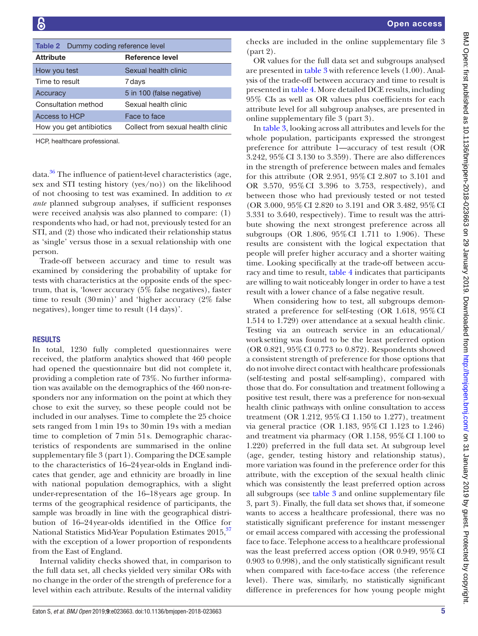<span id="page-5-0"></span>

| <b>Table 2</b> Dummy coding reference level |                                   |
|---------------------------------------------|-----------------------------------|
| <b>Attribute</b>                            | Reference level                   |
| How you test                                | Sexual health clinic              |
| Time to result                              | 7 days                            |
| Accuracy                                    | 5 in 100 (false negative)         |
| Consultation method                         | Sexual health clinic              |
| Access to HCP                               | Face to face                      |
| How you get antibiotics                     | Collect from sexual health clinic |
| HCP, healthcare professional.               |                                   |

data.[36](#page-10-16) The influence of patient-level characteristics (age, sex and STI testing history (yes/no)) on the likelihood of not choosing to test was examined. In addition to *ex ante* planned subgroup analyses, if sufficient responses were received analysis was also planned to compare: (1) respondents who had, or had not, previously tested for an STI, and (2) those who indicated their relationship status as 'single' versus those in a sexual relationship with one person.

Trade-off between accuracy and time to result was examined by considering the probability of uptake for tests with characteristics at the opposite ends of the spectrum, that is, 'lower accuracy (5% false negatives), faster time to result (30min)' and 'higher accuracy (2% false negatives), longer time to result (14 days)'.

#### **RESULTS**

In total, 1230 fully completed questionnaires were received, the platform analytics showed that 460 people had opened the questionnaire but did not complete it, providing a completion rate of 73%. No further information was available on the demographics of the 460 non-responders nor any information on the point at which they chose to exit the survey, so these people could not be included in our analyses. Time to complete the 25 choice sets ranged from 1min 19s to 30min 19s with a median time to completion of 7min 51s. Demographic characteristics of respondents are summarised in the online [supplementary file 3](https://dx.doi.org/10.1136/bmjopen-2018-023663) (part 1). Comparing the DCE sample to the characteristics of 16–24year-olds in England indicates that gender, age and ethnicity are broadly in line with national population demographics, with a slight under-representation of the 16–18years age group. In terms of the geographical residence of participants, the sample was broadly in line with the geographical distribution of 16–24year-olds identified in the Office for National Statistics Mid-Year Population Estimates 2015,<sup>37</sup> with the exception of a lower proportion of respondents from the East of England.

Internal validity checks showed that, in comparison to the full data set, all checks yielded very similar ORs with no change in the order of the strength of preference for a level within each attribute. Results of the internal validity checks are included in the online [supplementary file 3](https://dx.doi.org/10.1136/bmjopen-2018-023663)  (part 2).

OR values for the full data set and subgroups analysed are presented in [table](#page-6-0) 3 with reference levels (1.00). Analysis of the trade-off between accuracy and time to result is presented in [table](#page-8-0) 4. More detailed DCE results, including 95% CIs as well as OR values plus coefficients for each attribute level for all subgroup analyses, are presented in online [supplementary file 3](https://dx.doi.org/10.1136/bmjopen-2018-023663) (part 3).

In [table](#page-6-0) 3, looking across all attributes and levels for the whole population, participants expressed the strongest preference for attribute 1—accuracy of test result (OR 3.242, 95%CI 3.130 to 3.359). There are also differences in the strength of preference between males and females for this attribute (OR 2.951, 95%CI 2.807 to 3.101 and OR 3.570, 95%CI 3.396 to 3.753, respectively), and between those who had previously tested or not tested (OR 3.000, 95%CI 2.820 to 3.191 and OR 3.482, 95%CI 3.331 to 3.640, respectively). Time to result was the attribute showing the next strongest preference across all subgroups (OR 1.806, 95%CI 1.711 to 1.906). These results are consistent with the logical expectation that people will prefer higher accuracy and a shorter waiting time. Looking specifically at the trade-off between accuracy and time to result, [table](#page-8-0) 4 indicates that participants are willing to wait noticeably longer in order to have a test result with a lower chance of a false negative result.

When considering how to test, all subgroups demonstrated a preference for self-testing (OR 1.618, 95%CI 1.514 to 1.729) over attendance at a sexual health clinic. Testing via an outreach service in an educational/ worksetting was found to be the least preferred option (OR 0.821, 95%CI 0.773 to 0.872). Respondents showed a consistent strength of preference for those options that do not involve direct contact with healthcare professionals (self-testing and postal self-sampling), compared with those that do. For consultation and treatment following a positive test result, there was a preference for non-sexual health clinic pathways with online consultation to access treatment (OR 1.212, 95%CI 1.150 to 1.277), treatment via general practice (OR 1.183, 95%CI 1.123 to 1.246) and treatment via pharmacy (OR 1.158, 95%CI 1.100 to 1.220) preferred in the full data set. At subgroup level (age, gender, testing history and relationship status), more variation was found in the preference order for this attribute, with the exception of the sexual health clinic which was consistently the least preferred option across all subgroups (see [table](#page-6-0) 3 and online [supplementary file](https://dx.doi.org/10.1136/bmjopen-2018-023663)  [3](https://dx.doi.org/10.1136/bmjopen-2018-023663), part 3). Finally, the full data set shows that, if someone wants to access a healthcare professional, there was no statistically significant preference for instant messenger or email access compared with accessing the professional face to face. Telephone access to a healthcare professional was the least preferred access option (OR 0.949, 95% CI 0.903 to 0.998), and the only statistically significant result when compared with face-to-face access (the reference level). There was, similarly, no statistically significant difference in preferences for how young people might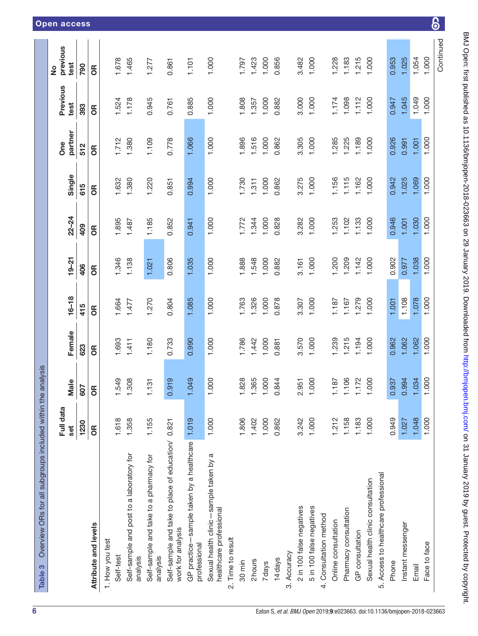<span id="page-6-0"></span>

| Overview ORs for all subgroups included within the<br>Table 3          |                  | analysis                         |        |           |           |           |        |                |                  | $\frac{1}{2}$    |
|------------------------------------------------------------------------|------------------|----------------------------------|--------|-----------|-----------|-----------|--------|----------------|------------------|------------------|
|                                                                        | Full data<br>set | Male                             | Female | $16 - 18$ | $19 - 21$ | $22 - 24$ | Single | partner<br>One | Previous<br>test | previous<br>test |
|                                                                        | 1230             | 607                              | 623    | 415       | 406       | 409       | 615    | 512            | 393              | 790              |
| Attribute and levels                                                   | <b>OR</b>        | ¢<br>$\circ$                     | 6R     | 6R        | 6R        | <b>SP</b> | 6R     | 6R             | 6R               | 6R               |
| 1. How you test                                                        |                  |                                  |        |           |           |           |        |                |                  |                  |
| Self-test                                                              | 1.618            | 549<br>$\overline{\phantom{0}}$  | 1.693  | 1.664     | 1.346     | 1.895     | 1.632  | 1.712          | 1.524            | 1.678            |
| Self-sample and post to a laboratory for<br>analysis                   | 1.358            | 308<br>$\overline{\phantom{0}}$  | 1.411  | 1.477     | 1.138     | 1.487     | 1.380  | 1.380          | 1.178            | 1.465            |
| Self-sample and take to a pharmacy for<br>analysis                     | 1.155            | 131<br>$\blacksquare$            | 1.180  | 1.270     | 1.021     | 1.185     | 1.220  | 1.109          | 0.945            | 1.277            |
| Self-sample and take to place of education/ 0.821<br>work for analysis |                  | 919<br>$\circ$                   | 0.733  | 0.804     | 0.806     | 0.852     | 0.851  | 0.778          | 0.761            | 0.861            |
| GP practice-sample taken by a healthcare<br>professional               | 1.019            | 049<br>↽                         | 0.990  | 1.085     | 1.035     | 0.941     | 0.994  | 1.066          | 0.885            | 1.101            |
| Sexual health clinic-sample taken by a<br>healthcare professional      | 1.000            | 000<br>↽                         | 1.000  | 1.000     | 1.000     | 1.000     | 1.000  | 1.000          | 1.000            | 1.000            |
| 2. Time to result<br>30 min                                            | 1.806            | 828<br>$\overline{\phantom{0}}$  | 1.786  | 1.763     | 1.888     | 1.772     | 1.730  | 1.896          | 1.808            | 1.797            |
| 2hours                                                                 | 1.402            | 365<br>$\overline{\phantom{0}}$  | 1.442  | 1.326     | 1.548     | 1.344     | 1.311  | 1.516          | 1.357            | 1.423            |
| 7 days                                                                 | 1.000            | 000<br>$\overline{\phantom{m}}$  | 1.000  | 1.000     | 1.000     | 1.000     | 1.000  | 1.000          | 1.000            | 1.000            |
| 14 days                                                                | 0.862            | 844<br>$\circ$                   | 0.881  | 0.878     | 0.882     | 0.828     | 0.862  | 0.862          | 0.882            | 0.856            |
| 3. Accuracy                                                            |                  |                                  |        |           |           |           |        |                |                  |                  |
| 2 in 100 false negatives                                               | 3.242            | 951<br>$\mathbf{C}$              | 3.570  | 3.307     | 3.161     | 3.282     | 3.275  | 3.305          | 3.000            | 3.482            |
| 5 in 100 false negatives                                               | 1.000            | 000<br>$\overline{\phantom{0}}$  | 1.000  | 1.000     | 1.000     | 1.000     | 1.000  | 1.000          | 1.000            | 1.000            |
| 4. Consultation method                                                 |                  |                                  |        |           |           |           |        |                |                  |                  |
| Online consultation                                                    | 1.212            | .187                             | 1.239  | 1.187     | 1.200     | 1.253     | 1.156  | 1.285          | 1.174            | 1.228            |
| Pharmacy consultation                                                  | 1.158            | .106                             | 1.215  | 1.167     | 1.209     | 1.102     | 1.115  | 1.225          | 1.098            | 1.183            |
| GP consultation                                                        | 1.183            | .172<br>$\mathbf{\tau}$          | 1.194  | 1.279     | 1.142     | 1.133     | 1.162  | 1.189          | 1.112            | 1.215            |
| Sexual health clinic consultation                                      | 1.000            | 000<br>$\overline{\phantom{0}}$  | 1.000  | 1.000     | 1.000     | 1.000     | 1.000  | 1.000          | 1.000            | 1.000            |
| 5. Access to healthcare professional                                   |                  |                                  |        |           |           |           |        |                |                  |                  |
| Phone                                                                  | 0.949            | 937<br>$\circ$                   | 0.962  | 1.001     | 0.902     | 0.946     | 0.942  | 0.926          | 0.947            | 0.953            |
| Instant messenger                                                      | 1.027            | .994<br>$\circ$                  | 1.062  | 1.108     | 0.977     | 1.001     | 1.025  | 0.991          | 1.045            | 1.025            |
| Email                                                                  | 1.048            | .034<br>$\overline{\phantom{0}}$ | 1.062  | 1.078     | 1.038     | 1.030     | 1.069  | 1.001          | 1.049            | 1.054            |
| Face to face                                                           | 1.000            | 000<br>$\overline{\phantom{0}}$  | 1.000  | 1.000     | 1.000     | 1.000     | 1.000  | 1.000          | 1.000            | 1.000            |
|                                                                        |                  |                                  |        |           |           |           |        |                |                  | Continued        |

 $\overline{6}$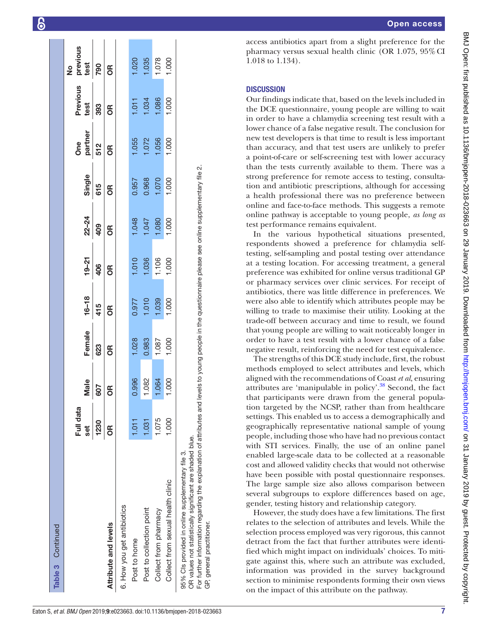| Table 3 Continued                                                                                                                                                                                                                                                                                    |                  |               |        |               |               |           |               |                       |                  |                       |
|------------------------------------------------------------------------------------------------------------------------------------------------------------------------------------------------------------------------------------------------------------------------------------------------------|------------------|---------------|--------|---------------|---------------|-----------|---------------|-----------------------|------------------|-----------------------|
|                                                                                                                                                                                                                                                                                                      | Full data<br>set | Male          | Female | $16 - 18$     | $19 - 21$     | $22 - 24$ | Single        | partner<br><b>One</b> | Previous<br>test | previous<br>test<br>ž |
|                                                                                                                                                                                                                                                                                                      | 1230             | 507           | 623    | 415           | 406           | 409       | 615           | 512                   | 393              | 790                   |
| Attribute and levels                                                                                                                                                                                                                                                                                 | $\frac{8}{5}$    | $\frac{1}{2}$ | 6R     | $\frac{a}{c}$ | $\frac{R}{C}$ | 6R        | $\frac{a}{c}$ | $\frac{R}{C}$         | 6R               | $\frac{1}{2}$         |
| 6. How you get antibiotics                                                                                                                                                                                                                                                                           |                  |               |        |               |               |           |               |                       |                  |                       |
| Post to home                                                                                                                                                                                                                                                                                         | 1.011            | .996          | 1.028  | 0.977         | 1.010         | 1.048     | 0.957         | 1.055                 | 1.011            | 1.020                 |
| Post to collection point                                                                                                                                                                                                                                                                             | 1.031            | .082          | 0.983  | 1.010         | 1.036         | 1.047     | 0.968         | 1.072                 | 1.034            | 1.035                 |
| Collect from pharmacy                                                                                                                                                                                                                                                                                | 1.075            | .064          | 1.087  | 1.039         | 1.106         | 1.080     | 1.070         | 1.056                 | 1.086            | 1.078                 |
| Collect from sexual health clinic                                                                                                                                                                                                                                                                    | 1,000            | $000$ .       | 1.000  | 0001          | 1.000         | 1.000     | 1.000         | 1.000                 | 1.000            | 1.000                 |
| For further information regarding the explanation of attributes and levels to young people in the questionnaire please see online supplementary file 2.<br>OR values not statistically significant are shaded blue.<br>95% Cls provided in online supplementary file 3.<br>GP, general practitioner. |                  |               |        |               |               |           |               |                       |                  |                       |
|                                                                                                                                                                                                                                                                                                      |                  |               |        |               |               |           |               |                       |                  |                       |

access antibiotics apart from a slight preference for the pharmacy versus sexual health clinic (OR 1.075, 95%CI 1.018 to 1.134).

# **DISCUSSION**

Our findings indicate that, based on the levels included in the DCE questionnaire, young people are willing to wait in order to have a chlamydia screening test result with a lower chance of a false negative result. The conclusion for new test developers is that time to result is less important than accuracy, and that test users are unlikely to prefer a point-of-care or self-screening test with lower accuracy than the tests currently available to them. There was a strong preference for remote access to testing, consultation and antibiotic prescriptions, although for accessing a health professional there was no preference between online and face-to-face methods. This suggests a remote online pathway is acceptable to young people, *as long as* test performance remains equivalent.

In the various hypothetical situations presented, respondents showed a preference for chlamydia selftesting, self-sampling and postal testing over attendance at a testing location. For accessing treatment, a general preference was exhibited for online versus traditional GP or pharmacy services over clinic services. For receipt of antibiotics, there was little difference in preferences. We were also able to identify which attributes people may be willing to trade to maximise their utility. Looking at the trade-off between accuracy and time to result, we found that young people are willing to wait noticeably longer in order to have a test result with a lower chance of a false negative result, reinforcing the need for test equivalence.

The strengths of this DCE study include, first, the robust methods employed to select attributes and levels, which aligned with the recommendations of Coast *et al*, ensuring attributes are 'manipulable in policy'.<sup>[38](#page-10-18)</sup> Second, the fact that participants were drawn from the general population targeted by the NCSP, rather than from healthcare settings. This enabled us to access a demographically and geographically representative national sample of young people, including those who have had no previous contact with STI services. Finally, the use of an online panel enabled large-scale data to be collected at a reasonable cost and allowed validity checks that would not otherwise have been possible with postal questionnaire responses. The large sample size also allows comparison between several subgroups to explore differences based on age, gender, testing history and relationship category.

However, the study does have a few limitations. The first relates to the selection of attributes and levels. While the selection process employed was very rigorous, this cannot detract from the fact that further attributes were identified which might impact on individuals' choices. To miti gate against this, where such an attribute was excluded, information was provided in the survey background section to minimise respondents forming their own views on the impact of this attribute on the pathway.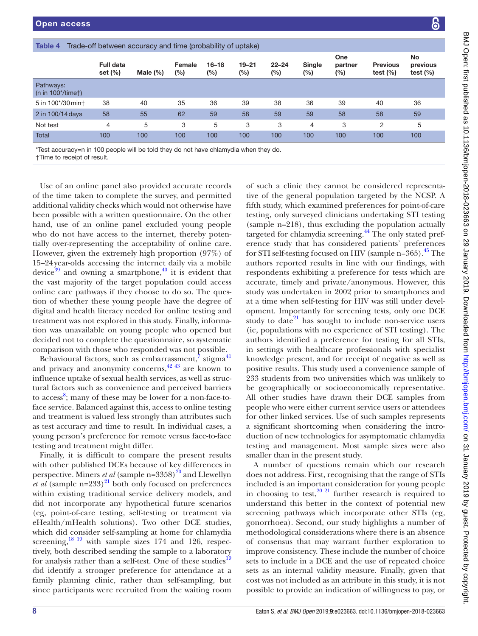<span id="page-8-0"></span>

|                                                                                                                                                                                                                                                                                                                                                                                                                                                                                                                                                                                                                                                                                                                                                      | <b>Full data</b><br>set $(\%)$ | Male $(\%)$ | Female<br>(%) | $16 - 18$<br>(%) | $19 - 21$<br>(%) | 22-24<br>(%) | Single<br>(%) | One<br>partner<br>(%) | <b>Previous</b><br>test $(\%)$                                                                                                                                                                                                                                                                                                                                                                                                                                                                                                                                                                                                                                                                                                                                         | No<br>previous<br>test $(\%)$ |
|------------------------------------------------------------------------------------------------------------------------------------------------------------------------------------------------------------------------------------------------------------------------------------------------------------------------------------------------------------------------------------------------------------------------------------------------------------------------------------------------------------------------------------------------------------------------------------------------------------------------------------------------------------------------------------------------------------------------------------------------------|--------------------------------|-------------|---------------|------------------|------------------|--------------|---------------|-----------------------|------------------------------------------------------------------------------------------------------------------------------------------------------------------------------------------------------------------------------------------------------------------------------------------------------------------------------------------------------------------------------------------------------------------------------------------------------------------------------------------------------------------------------------------------------------------------------------------------------------------------------------------------------------------------------------------------------------------------------------------------------------------------|-------------------------------|
| Pathways:<br>(n in 100*/time†)                                                                                                                                                                                                                                                                                                                                                                                                                                                                                                                                                                                                                                                                                                                       |                                |             |               |                  |                  |              |               |                       |                                                                                                                                                                                                                                                                                                                                                                                                                                                                                                                                                                                                                                                                                                                                                                        |                               |
| 5 in 100*/30 min†                                                                                                                                                                                                                                                                                                                                                                                                                                                                                                                                                                                                                                                                                                                                    | 38                             | 40          | 35            | 36               | 39               | 38           | 36            | 39                    | 40                                                                                                                                                                                                                                                                                                                                                                                                                                                                                                                                                                                                                                                                                                                                                                     | 36                            |
| 2 in 100/14 days                                                                                                                                                                                                                                                                                                                                                                                                                                                                                                                                                                                                                                                                                                                                     | 58                             | 55          | 62            | 59               | 58               | 59           | 59            | 58                    | 58                                                                                                                                                                                                                                                                                                                                                                                                                                                                                                                                                                                                                                                                                                                                                                     | 59                            |
| Not test                                                                                                                                                                                                                                                                                                                                                                                                                                                                                                                                                                                                                                                                                                                                             | $\overline{4}$                 | 5           | 3             | 5                | 3                | 3            | 4             | 3                     | 2                                                                                                                                                                                                                                                                                                                                                                                                                                                                                                                                                                                                                                                                                                                                                                      | 5                             |
| Total                                                                                                                                                                                                                                                                                                                                                                                                                                                                                                                                                                                                                                                                                                                                                | 100                            | 100         | 100           | 100              | 100              | 100          | 100           | 100                   | 100                                                                                                                                                                                                                                                                                                                                                                                                                                                                                                                                                                                                                                                                                                                                                                    | 100                           |
| Use of an online panel also provided accurate records<br>of the time taken to complete the survey, and permitted<br>dditional validity checks which would not otherwise have                                                                                                                                                                                                                                                                                                                                                                                                                                                                                                                                                                         |                                |             |               |                  |                  |              |               |                       | of such a clinic they cannot be considered representa-<br>tive of the general population targeted by the NCSP. A<br>fifth study, which examined preferences for point-of-care                                                                                                                                                                                                                                                                                                                                                                                                                                                                                                                                                                                          |                               |
| been possible with a written questionnaire. On the other<br>and, use of an online panel excluded young people<br>who do not have access to the internet, thereby poten-<br>ially over-representing the acceptability of online care.<br>However, given the extremely high proportion (97%) of<br>5-24 year-olds accessing the internet daily via a mobile<br>levice <sup>39</sup> and owning a smartphone, <sup>40</sup> it is evident that<br>he vast majority of the target population could access<br>in mine care pathways if they choose to do so. The ques-<br>ion of whether these young people have the degree of<br>ligital and health literacy needed for online testing and<br>reatment was not explored in this study. Finally, informa- |                                |             |               |                  |                  |              |               |                       | testing, only surveyed clinicians undertaking STI testing<br>(sample n=218), thus excluding the population actually<br>targeted for chlamydia screening. <sup>44</sup> The only stated pref-<br>erence study that has considered patients' preferences<br>for STI self-testing focused on HIV (sample n=365). <sup>45</sup> The<br>authors reported results in line with our findings, with<br>respondents exhibiting a preference for tests which are<br>accurate, timely and private/anonymous. However, this<br>study was undertaken in 2002 prior to smartphones and<br>at a time when self-testing for HIV was still under devel-<br>opment. Importantly for screening tests, only one DCE<br>study to date <sup>21</sup> has sought to include non-service users |                               |

Behavioural factors, such as embarrassment, $\frac{7}{7}$  stigma<sup>41</sup> and privacy and anonymity concerns,  $42\frac{43}{13}$  are known to influence uptake of sexual health services, as well as structural factors such as convenience and perceived barriers to access<sup>[8](#page-9-11)</sup>; many of these may be lower for a non-face-toface service. Balanced against this, access to online testing and treatment is valued less strongly than attributes such as test accuracy and time to result. In individual cases, a young person's preference for remote versus face-to-face testing and treatment might differ.

Finally, it is difficult to compare the present results with other published DCEs because of key differences in perspective. Miners *et al* (sample n=3358)<sup>20</sup> and Llewellyn *et al* (sample n=233) $^{21}$  both only focused on preferences within existing traditional service delivery models, and did not incorporate any hypothetical future scenarios (eg, point-of-care testing, self-testing or treatment via eHealth/mHealth solutions). Two other DCE studies, which did consider self-sampling at home for chlamydia screening, $^{18}$  19 with sample sizes 174 and 126, respectively, both described sending the sample to a laboratory for analysis rather than a self-test. One of these studies $19$ did identify a stronger preference for attendance at a family planning clinic, rather than self-sampling, but since participants were recruited from the waiting room

targeted for cl erence study for STI self-tes authors report respondents  $\epsilon$ accurate, time study was und at a time when opment. Impo study to date (ie, population authors ident in settings wi knowledge pre positive result 233 students from two universities which was unlikely to be geographically or socioeconomically representative. All other studies have drawn their DCE samples from people who were either current service users or attendees for other linked services. Use of such samples represents a significant shortcoming when considering the introduction of new technologies for asymptomatic chlamydia testing and management. Most sample sizes were also smaller than in the present study.

A number of questions remain which our research does not address. First, recognising that the range of STIs included is an important consideration for young people in choosing to test,<sup>[20 21](#page-10-11)</sup> further research is required to understand this better in the context of potential new screening pathways which incorporate other STIs (eg, gonorrhoea). Second, our study highlights a number of methodological considerations where there is an absence of consensus that may warrant further exploration to improve consistency. These include the number of choice sets to include in a DCE and the use of repeated choice sets as an internal validity measure. Finally, given that cost was not included as an attribute in this study, it is not possible to provide an indication of willingness to pay, or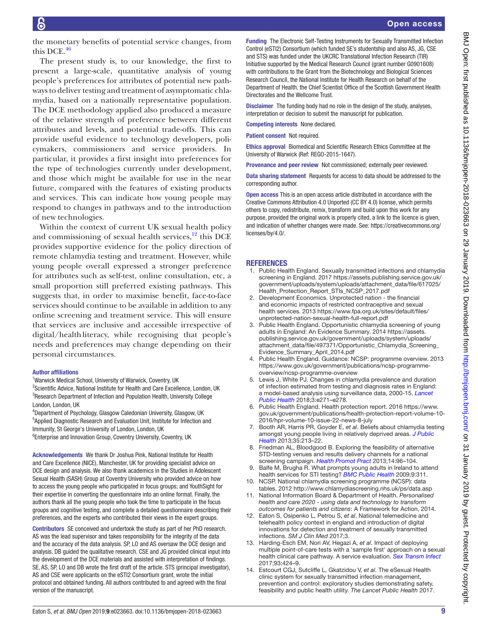the monetary benefits of potential service changes, from this DCE. $46$ 

The present study is, to our knowledge, the first to present a large-scale, quantitative analysis of young people's preferences for attributes of potential new pathways to deliver testing and treatment of asymptomatic chlamydia, based on a nationally representative population. The DCE methodology applied also produced a measure of the relative strength of preference between different attributes and levels, and potential trade-offs. This can provide useful evidence to technology developers, policymakers, commissioners and service providers. In particular, it provides a first insight into preferences for the type of technologies currently under development, and those which might be available for use in the near future, compared with the features of existing products and services. This can indicate how young people may respond to changes in pathways and to the introduction of new technologies.

Within the context of current UK sexual health policy and commissioning of sexual health services, $^{12}$  this DCE provides supportive evidence for the policy direction of remote chlamydia testing and treatment. However, while young people overall expressed a stronger preference for attributes such as self-test, online consultation, etc, a small proportion still preferred existing pathways. This suggests that, in order to maximise benefit, face-to-face services should continue to be available in addition to any online screening and treatment service. This will ensure that services are inclusive and accessible irrespective of digital/healthliteracy, while recognising that people's needs and preferences may change depending on their personal circumstances.

#### Author affiliations

<sup>1</sup>Warwick Medical School, University of Warwick, Coventry, UK <sup>2</sup>Scientific Advice, National Institute for Health and Care Excellence, London, UK <sup>3</sup>Research Department of Infection and Population Health, University College London, London, UK

4 Department of Psychology, Glasgow Caledonian University, Glasgow, UK 5 Applied Diagnostic Research and Evaluation Unit, Institute for Infection and Immunity, St George's University of London, London, UK

<sup>6</sup>Enterprise and Innovation Group, Coventry University, Coventry, UK

Acknowledgements We thank Dr Joshua Pink, National Institute for Health and Care Excellence (NICE), Manchester, UK for providing specialist advice on DCE design and analysis. We also thank academics in the Studies in Adolescent Sexual Health (SASH) Group at Coventry University who provided advice on how to access the young people who participated in focus groups; and YouthSight for their expertise in converting the questionnaire into an online format. Finally, the authors thank all the young people who took the time to participate in the focus groups and cognitive testing, and complete a detailed questionnaire describing their preferences, and the experts who contributed their views in the expert groups.

Contributors SE conceived and undertook the study as part of her PhD research. AS was the lead supervisor and takes responsibility for the integrity of the data and the accuracy of the data analysis. SP, LO and AS oversaw the DCE design and analysis. DB guided the qualitative research. CSE and JG provided clinical input into the development of the DCE materials and assisted with interpretation of findings. SE, AS, SP, LO and DB wrote the first draft of the article. STS (principal investigator), AS and CSE were applicants on the eSTI2 Consortium grant, wrote the initial protocol and obtained funding. All authors contributed to and agreed with the final version of the manuscript.

Funding The Electronic Self-Testing Instruments for Sexually Transmitted Infection Control (eSTI2) Consortium (which funded SE's studentship and also AS, JG, CSE and STS) was funded under the UKCRC Translational Infection Research (TIR) Initiative supported by the Medical Research Council (grant number G0901608) with contributions to the Grant from the Biotechnology and Biological Sciences Research Council, the National Institute for Health Research on behalf of the Department of Health, the Chief Scientist Office of the Scottish Government Health Directorates and the Wellcome Trust.

Disclaimer The funding body had no role in the design of the study, analyses, interpretation or decision to submit the manuscript for publication.

Competing interests None declared.

Patient consent Not required.

Ethics approval Biomedical and Scientific Research Ethics Committee at the University of Warwick (Ref: REGO-2015-1647).

Provenance and peer review Not commissioned; externally peer reviewed.

Data sharing statement Requests for access to data should be addressed to the corresponding author.

Open access This is an open access article distributed in accordance with the Creative Commons Attribution 4.0 Unported (CC BY 4.0) license, which permits others to copy, redistribute, remix, transform and build upon this work for any purpose, provided the original work is properly cited, a link to the licence is given, and indication of whether changes were made. See: [https://creativecommons.org/](https://creativecommons.org/licenses/by/4.0/) [licenses/by/4.0/](https://creativecommons.org/licenses/by/4.0/).

#### **REFERENCES**

- <span id="page-9-0"></span>1. Public Health England. Sexually transmitted infections and chlamydia screening in England. 2017 [https://assets.publishing.service.gov.uk/](https://assets.publishing.service.gov.uk/government/uploads/system/uploads/attachment_data/file/617025/Health_Protection_Report_STIs_NCSP_2017.pdf) [government/uploads/system/uploads/attachment\\_data/file/617025/](https://assets.publishing.service.gov.uk/government/uploads/system/uploads/attachment_data/file/617025/Health_Protection_Report_STIs_NCSP_2017.pdf) [Health\\_Protection\\_Report\\_STIs\\_NCSP\\_2017.pdf](https://assets.publishing.service.gov.uk/government/uploads/system/uploads/attachment_data/file/617025/Health_Protection_Report_STIs_NCSP_2017.pdf)
- <span id="page-9-1"></span>2. Development Economics. Unprotected nation - the financial and economic impacts of restricted contraceptive and sexual health services. 2013 [https://www.fpa.org.uk/sites/default/files/](https://www.fpa.org.uk/sites/default/files/unprotected-nation-sexual-health-full-report.pdf) [unprotected-nation-sexual-health-full-report.pdf](https://www.fpa.org.uk/sites/default/files/unprotected-nation-sexual-health-full-report.pdf)
- <span id="page-9-2"></span>3. Public Health England. Opportunistic chlamydia screening of young adults in England: An Evidence Summary. 2014 [https://assets.](https://assets.publishing.service.gov.uk/government/uploads/system/uploads/attachment_data/file/497371/Opportunistic_Chlamydia_Screening_Evidence_Summary_April_2014.pdf) [publishing.service.gov.uk/government/uploads/system/uploads/](https://assets.publishing.service.gov.uk/government/uploads/system/uploads/attachment_data/file/497371/Opportunistic_Chlamydia_Screening_Evidence_Summary_April_2014.pdf) [attachment\\_data/file/497371/Opportunistic\\_Chlamydia\\_Screening\\_](https://assets.publishing.service.gov.uk/government/uploads/system/uploads/attachment_data/file/497371/Opportunistic_Chlamydia_Screening_Evidence_Summary_April_2014.pdf) [Evidence\\_Summary\\_April\\_2014.pdf](https://assets.publishing.service.gov.uk/government/uploads/system/uploads/attachment_data/file/497371/Opportunistic_Chlamydia_Screening_Evidence_Summary_April_2014.pdf)
- <span id="page-9-3"></span>4. Public Health England. Guidance: NCSP: programme overview. 2013 [https://www.gov.uk/government/publications/ncsp-programme](https://www.gov.uk/government/publications/ncsp-programme-overview/ncsp-programme-overview)[overview/ncsp-programme-overview](https://www.gov.uk/government/publications/ncsp-programme-overview/ncsp-programme-overview)
- <span id="page-9-4"></span>5. Lewis J, White PJ. Changes in chlamydia prevalence and duration of infection estimated from testing and diagnosis rates in England: a model-based analysis using surveillance data, 2000-15. *[Lancet](http://dx.doi.org/10.1016/S2468-2667(18)30071-9)  [Public Health](http://dx.doi.org/10.1016/S2468-2667(18)30071-9)* 2018;3:e271–e278.
- <span id="page-9-5"></span>6. Public Health England. Health protection report. 2016 [https://www.](https://www.gov.uk/government/publications/health-protection-report-volume-10-2016/hpr-volume-10-issue-22-news-8-july) [gov.uk/government/publications/health-protection-report-volume-10-](https://www.gov.uk/government/publications/health-protection-report-volume-10-2016/hpr-volume-10-issue-22-news-8-july) [2016/hpr-volume-10-issue-22-news-8-july](https://www.gov.uk/government/publications/health-protection-report-volume-10-2016/hpr-volume-10-issue-22-news-8-july)
- <span id="page-9-6"></span>7. Booth AR, Harris PR, Goyder E, *et al*. Beliefs about chlamydia testing amongst young people living in relatively deprived areas. *[J Public](http://dx.doi.org/10.1093/pubmed/fds082)  [Health](http://dx.doi.org/10.1093/pubmed/fds082)* 2013;35:213–22.
- <span id="page-9-11"></span>8. Friedman AL, Bloodgood B. Exploring the feasibility of alternative STD-testing venues and results delivery channels for a national screening campaign. *[Health Promot Pract](http://dx.doi.org/10.1177/1524839911404226)* 2013;14:96–104.
- 9. Balfe M, Brugha R. What prompts young adults in Ireland to attend health services for STI testing? *[BMC Public Health](http://dx.doi.org/10.1186/1471-2458-9-311)* 2009;9:311.
- 10. NCSP. National chlamydia screening programme (NCSP): data tables. 2012 <http://www.chlamydiascreening.nhs.uk/ps/data.asp>
- <span id="page-9-7"></span>11. National Information Board & Department of Health. *Personalised health and care 2020 - using data and technology to transform outcomes for patients and citizens*: A Framework for Action, 2014.
- <span id="page-9-8"></span>12. Eaton S, Osipenko L, Petrou S, *et al*. National telemedicine and telehealth policy context in england and introduction of digital innovations for detection and treatment of sexually transmitted infections. *SM J Clin Med* 2017;3.
- <span id="page-9-9"></span>13. Harding-Esch EM, Nori AV, Hegazi A, *et al*. Impact of deploying multiple point-of-care tests with a 'sample first' approach on a sexual health clinical care pathway. A service evaluation. *[Sex Transm Infect](http://dx.doi.org/10.1136/sextrans-2016-052988)* 2017;93:424–9.
- <span id="page-9-10"></span>14. Estcourt CGJ, Sutcliffe L, Gkatzidou V, *et al*. The eSexual Health clinic system for sexually transmitted infection management, prevention and control: exploratory studies demonstrating safety, feasibility and public health utility. *The Lancet Public Health* 2017.